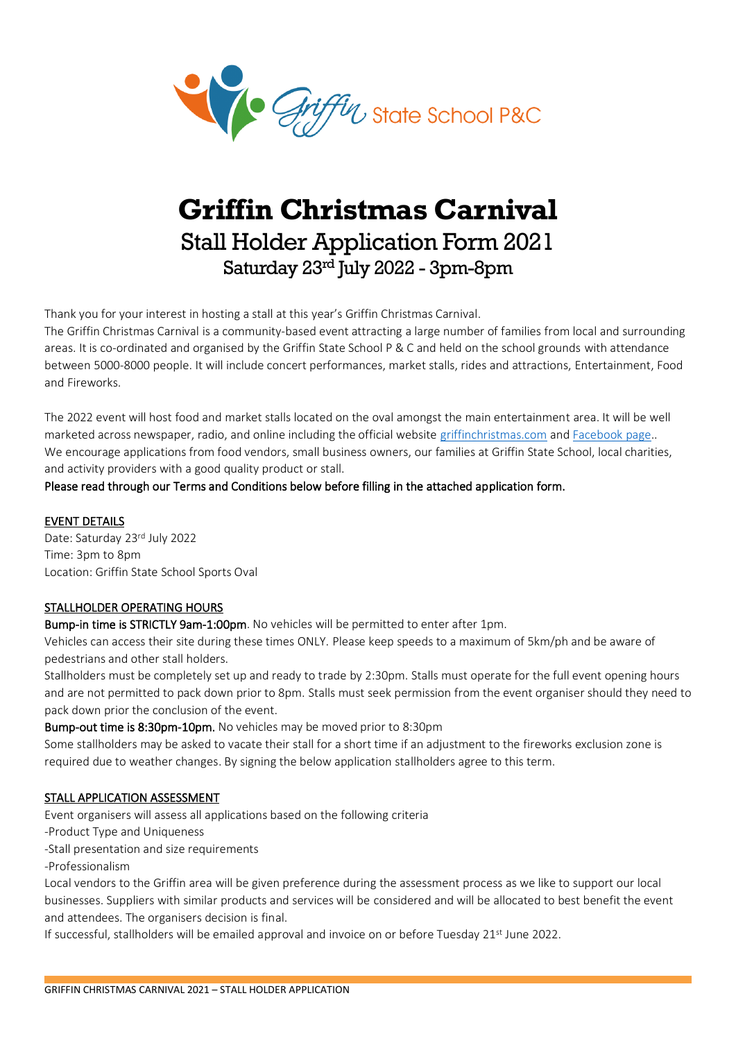

# **Griffin Christmas Carnival** Stall Holder Application Form 2021 Saturday 23rd July 2022 - 3pm-8pm

Thank you for your interest in hosting a stall at this year's Griffin Christmas Carnival.

The Griffin Christmas Carnival is a community-based event attracting a large number of families from local and surrounding areas. It is co-ordinated and organised by the Griffin State School P & C and held on the school grounds with attendance between 5000-8000 people. It will include concert performances, market stalls, rides and attractions, Entertainment, Food and Fireworks.

The 2022 event will host food and market stalls located on the oval amongst the main entertainment area. It will be well marketed across newspaper, radio, and online including the official website [griffinchristmas.com](https://www.griffinchristmas.com/) an[d Facebook](https://www.facebook.com/GriffinChristmasCarnival) page.. We encourage applications from food vendors, small business owners, our families at Griffin State School, local charities, and activity providers with a good quality product or stall.

Please read through our Terms and Conditions below before filling in the attached application form.

### EVENT DETAILS

Date: Saturday 23rd July 2022 Time: 3pm to 8pm Location: Griffin State School Sports Oval

## STALLHOLDER OPERATING HOURS

Bump-in time is STRICTLY 9am-1:00pm. No vehicles will be permitted to enter after 1pm.

Vehicles can access their site during these times ONLY. Please keep speeds to a maximum of 5km/ph and be aware of pedestrians and other stall holders.

Stallholders must be completely set up and ready to trade by 2:30pm. Stalls must operate for the full event opening hours and are not permitted to pack down prior to 8pm. Stalls must seek permission from the event organiser should they need to pack down prior the conclusion of the event.

Bump-out time is 8:30pm-10pm. No vehicles may be moved prior to 8:30pm

Some stallholders may be asked to vacate their stall for a short time if an adjustment to the fireworks exclusion zone is required due to weather changes. By signing the below application stallholders agree to this term.

## STALL APPLICATION ASSESSMENT

Event organisers will assess all applications based on the following criteria

-Product Type and Uniqueness

-Stall presentation and size requirements

-Professionalism

Local vendors to the Griffin area will be given preference during the assessment process as we like to support our local businesses. Suppliers with similar products and services will be considered and will be allocated to best benefit the event and attendees. The organisers decision is final.

If successful, stallholders will be emailed approval and invoice on or before Tuesday 21<sup>st</sup> June 2022.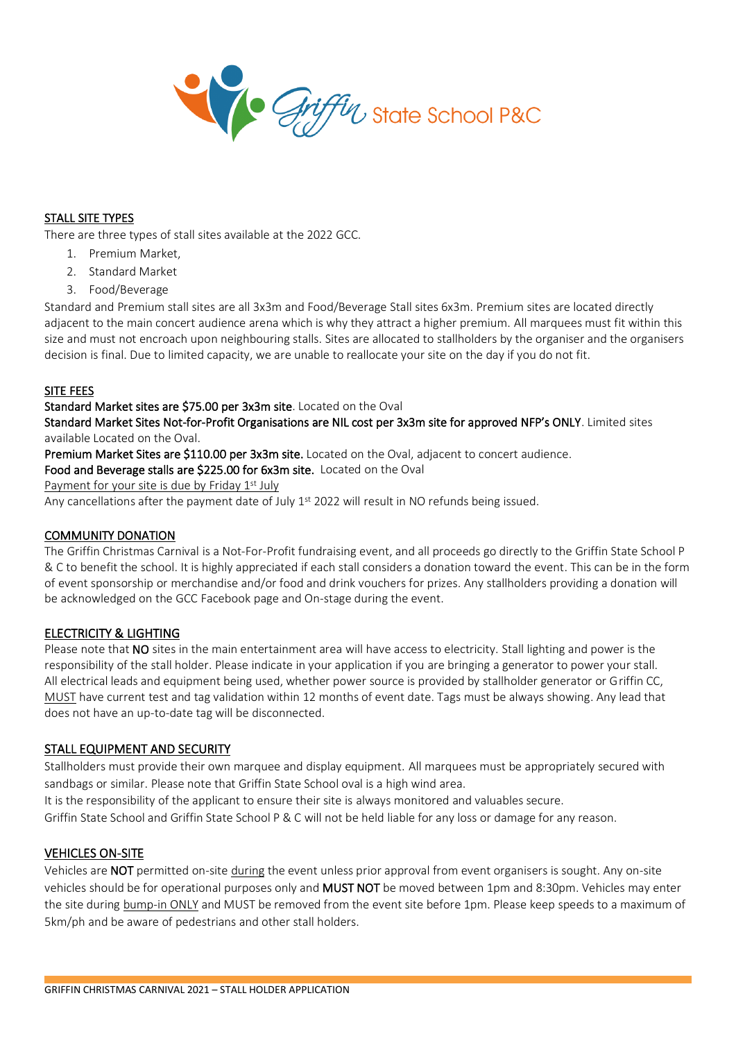

#### STALL SITE TYPES

There are three types of stall sites available at the 2022 GCC.

- 1. Premium Market,
- 2. Standard Market
- 3. Food/Beverage

Standard and Premium stall sites are all 3x3m and Food/Beverage Stall sites 6x3m. Premium sites are located directly adjacent to the main concert audience arena which is why they attract a higher premium. All marquees must fit within this size and must not encroach upon neighbouring stalls. Sites are allocated to stallholders by the organiser and the organisers decision is final. Due to limited capacity, we are unable to reallocate your site on the day if you do not fit.

#### SITE FEES

#### Standard Market sites are \$75.00 per 3x3m site. Located on the Oval

Standard Market Sites Not-for-Profit Organisations are NIL cost per 3x3m site for approved NFP's ONLY. Limited sites available Located on the Oval.

Premium Market Sites are \$110.00 per 3x3m site. Located on the Oval, adjacent to concert audience.

Food and Beverage stalls are \$225.00 for 6x3m site. Located on the Oval

Payment for your site is due by Friday 1st July

Any cancellations after the payment date of July 1st 2022 will result in NO refunds being issued.

#### COMMUNITY DONATION

The Griffin Christmas Carnival is a Not-For-Profit fundraising event, and all proceeds go directly to the Griffin State School P & C to benefit the school. It is highly appreciated if each stall considers a donation toward the event. This can be in the form of event sponsorship or merchandise and/or food and drink vouchers for prizes. Any stallholders providing a donation will be acknowledged on the GCC Facebook page and On-stage during the event.

#### ELECTRICITY & LIGHTING

Please note that NO sites in the main entertainment area will have access to electricity. Stall lighting and power is the responsibility of the stall holder. Please indicate in your application if you are bringing a generator to power your stall. All electrical leads and equipment being used, whether power source is provided by stallholder generator or Griffin CC, MUST have current test and tag validation within 12 months of event date. Tags must be always showing. Any lead that does not have an up-to-date tag will be disconnected.

#### STALL EQUIPMENT AND SECURITY

Stallholders must provide their own marquee and display equipment. All marquees must be appropriately secured with sandbags or similar. Please note that Griffin State School oval is a high wind area.

It is the responsibility of the applicant to ensure their site is always monitored and valuables secure.

Griffin State School and Griffin State School P & C will not be held liable for any loss or damage for any reason.

#### VEHICLES ON-SITE

Vehicles are NOT permitted on-site during the event unless prior approval from event organisers is sought. Any on-site vehicles should be for operational purposes only and MUST NOT be moved between 1pm and 8:30pm. Vehicles may enter the site during bump-in ONLY and MUST be removed from the event site before 1pm. Please keep speeds to a maximum of 5km/ph and be aware of pedestrians and other stall holders.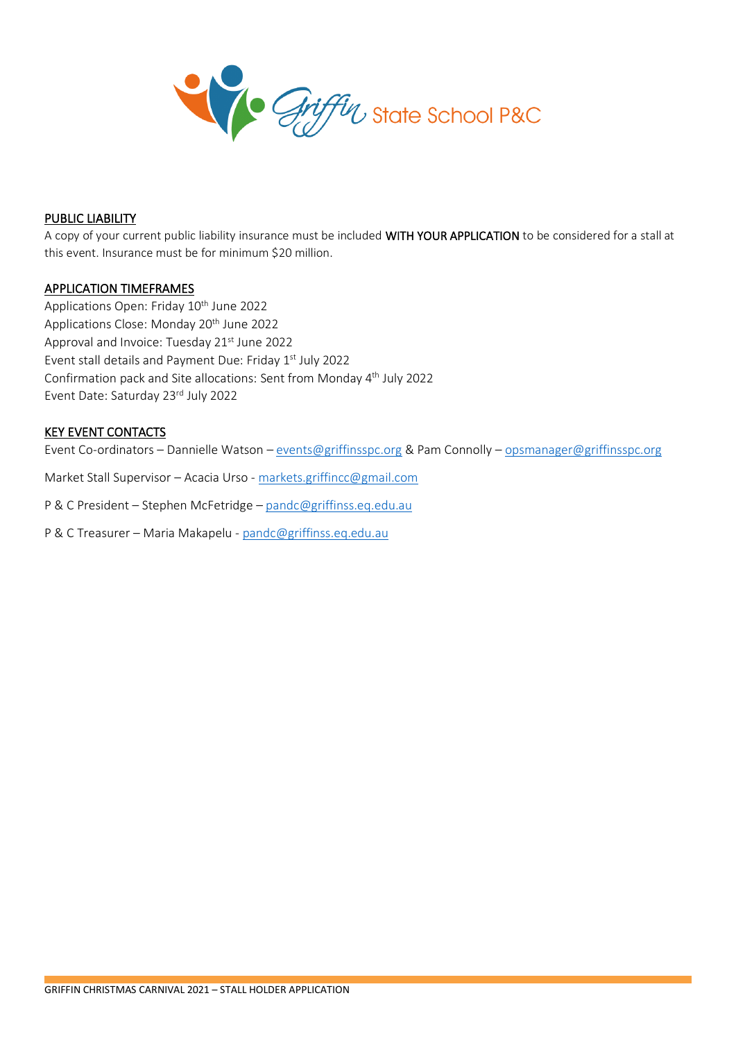

#### PUBLIC LIABILITY

A copy of your current public liability insurance must be included WITH YOUR APPLICATION to be considered for a stall at this event. Insurance must be for minimum \$20 million.

#### APPLICATION TIMEFRAMES

Applications Open: Friday 10<sup>th</sup> June 2022 Applications Close: Monday 20<sup>th</sup> June 2022 Approval and Invoice: Tuesday 21st June 2022 Event stall details and Payment Due: Friday 1st July 2022 Confirmation pack and Site allocations: Sent from Monday 4th July 2022 Event Date: Saturday 23rd July 2022

#### KEY EVENT CONTACTS

Event Co-ordinators – Dannielle Watson – [events@griffinsspc.org](mailto:events@griffinsspc.org) & Pam Connolly – [opsmanager@griffinsspc.org](mailto:opsmanager@griffinsspc.org)

Market Stall Supervisor – Acacia Urso - [markets.griffincc@gmail.com](mailto:markets.griffincc@gmail.com)

P & C President – Stephen McFetridge – [pandc@griffinss.eq.edu.au](mailto:pandc@griffinss.eq.edu.au)

P & C Treasurer – Maria Makapelu - [pandc@griffinss.eq.edu.au](mailto:pandc@griffinss.eq.edu.au)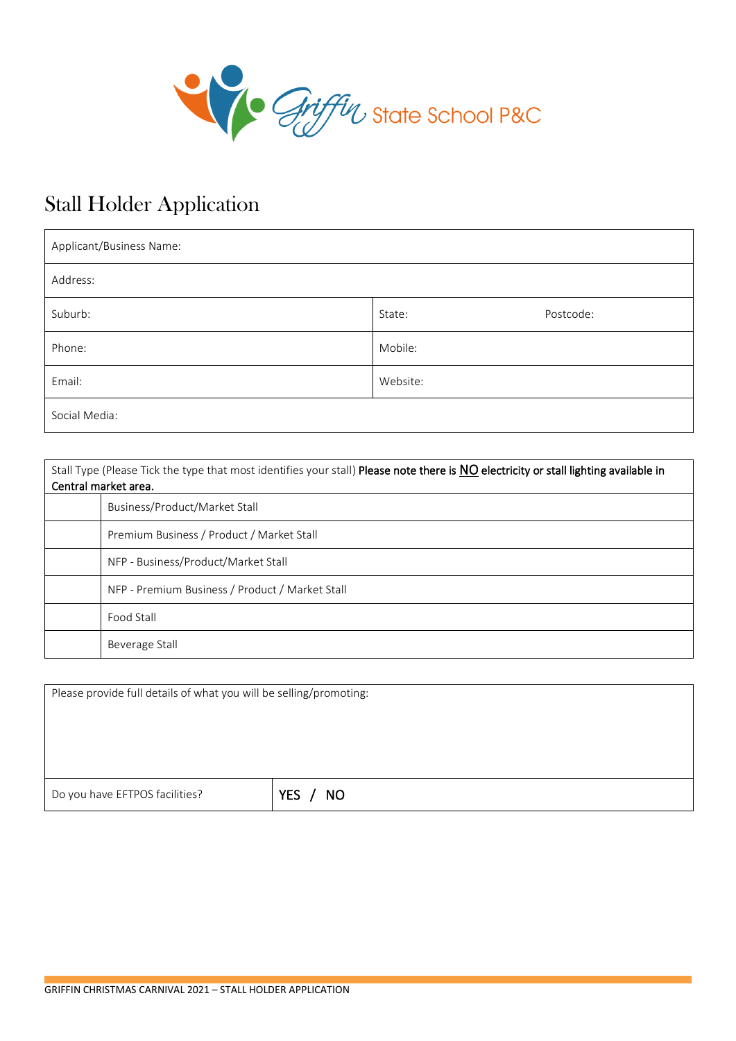

# Stall Holder Application

| Applicant/Business Name: |          |           |
|--------------------------|----------|-----------|
| Address:                 |          |           |
| Suburb:                  | State:   | Postcode: |
| Phone:                   | Mobile:  |           |
| Email:                   | Website: |           |
| Social Media:            |          |           |

| Stall Type (Please Tick the type that most identifies your stall) Please note there is NO electricity or stall lighting available in<br>Central market area. |
|--------------------------------------------------------------------------------------------------------------------------------------------------------------|
| Business/Product/Market Stall                                                                                                                                |
| Premium Business / Product / Market Stall                                                                                                                    |
| NFP - Business/Product/Market Stall                                                                                                                          |
| NFP - Premium Business / Product / Market Stall                                                                                                              |
| Food Stall                                                                                                                                                   |
| Beverage Stall                                                                                                                                               |

Please provide full details of what you will be selling/promoting:

Do you have EFTPOS facilities? **YES / NO**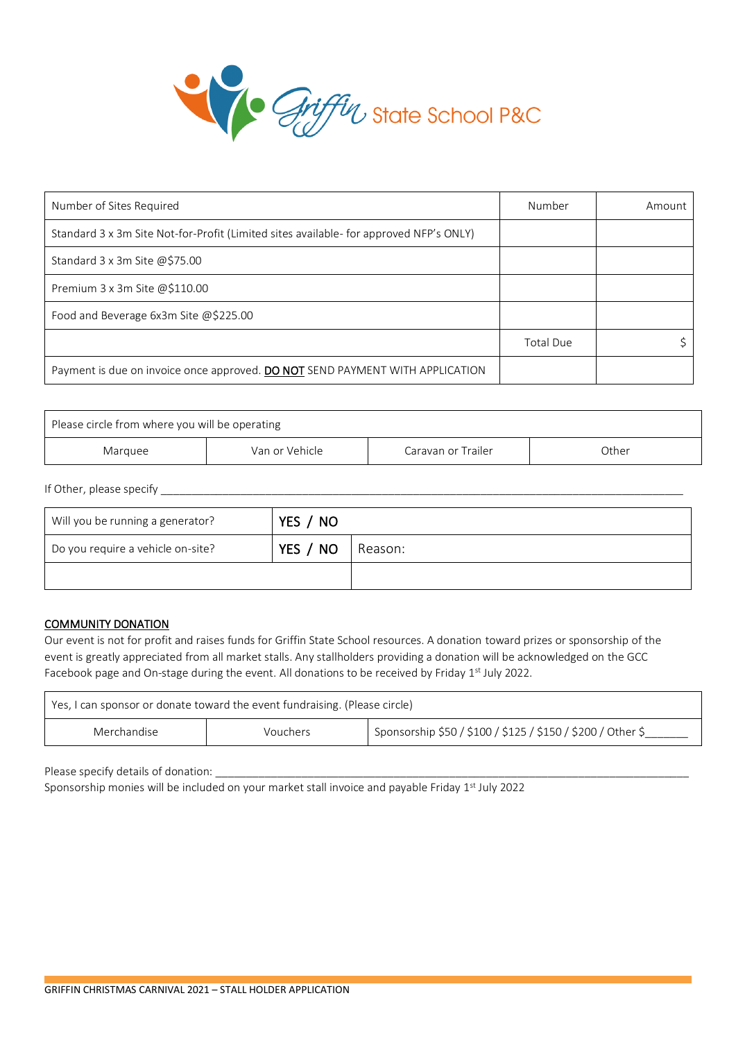

| Number of Sites Required                                                               | Number           | Amount |
|----------------------------------------------------------------------------------------|------------------|--------|
| Standard 3 x 3m Site Not-for-Profit (Limited sites available- for approved NFP's ONLY) |                  |        |
| Standard 3 x 3m Site @\$75.00                                                          |                  |        |
| Premium 3 x 3m Site @\$110.00                                                          |                  |        |
| Food and Beverage 6x3m Site @\$225.00                                                  |                  |        |
|                                                                                        | <b>Total Due</b> |        |
| Payment is due on invoice once approved. DO NOT SEND PAYMENT WITH APPLICATION          |                  |        |

| Please circle from where you will be operating           |  |  |  |
|----------------------------------------------------------|--|--|--|
| Van or Vehicle<br>Caravan or Trailer<br>Other<br>Marquee |  |  |  |

If Other, please specify \_\_\_\_\_\_\_\_\_\_\_\_\_\_\_\_\_\_\_\_\_\_\_\_\_\_\_\_\_\_\_\_\_\_\_\_\_\_\_\_\_\_\_\_\_\_\_\_\_\_\_\_\_\_\_\_\_\_\_\_\_\_\_\_\_\_\_\_\_\_\_\_\_\_\_\_\_\_\_\_\_\_\_\_\_

| Will you be running a generator?  | YES / NO |         |
|-----------------------------------|----------|---------|
| Do you require a vehicle on-site? | YES / NO | Reason: |
|                                   |          |         |

#### COMMUNITY DONATION

Our event is not for profit and raises funds for Griffin State School resources. A donation toward prizes or sponsorship of the event is greatly appreciated from all market stalls. Any stallholders providing a donation will be acknowledged on the GCC Facebook page and On-stage during the event. All donations to be received by Friday 1<sup>st</sup> July 2022.

| Yes, I can sponsor or donate toward the event fundraising. (Please circle)             |  |  |  |
|----------------------------------------------------------------------------------------|--|--|--|
| Sponsorship \$50 / \$100 / \$125 / \$150 / \$200 / Other \$<br>Merchandise<br>Vouchers |  |  |  |

Please specify details of donation:

Sponsorship monies will be included on your market stall invoice and payable Friday 1<sup>st</sup> July 2022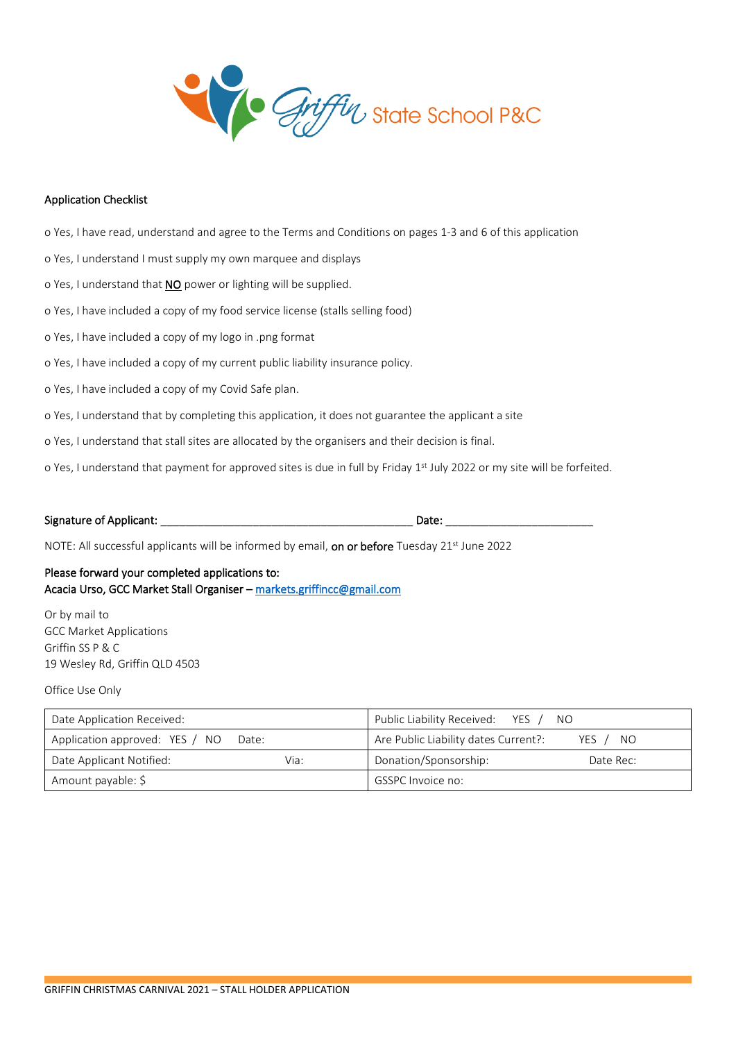

#### Application Checklist

o Yes, I have read, understand and agree to the Terms and Conditions on pages 1-3 and 6 of this application

o Yes, I understand I must supply my own marquee and displays

- o Yes, I understand that **NO** power or lighting will be supplied.
- o Yes, I have included a copy of my food service license (stalls selling food)
- o Yes, I have included a copy of my logo in .png format
- o Yes, I have included a copy of my current public liability insurance policy.
- o Yes, I have included a copy of my Covid Safe plan.
- o Yes, I understand that by completing this application, it does not guarantee the applicant a site
- o Yes, I understand that stall sites are allocated by the organisers and their decision is final.
- o Yes, I understand that payment for approved sites is due in full by Friday 1<sup>st</sup> July 2022 or my site will be forfeited.

#### Signature of Applicant: \_\_\_\_\_\_\_\_\_\_\_\_\_\_\_\_\_\_\_\_\_\_\_\_\_\_\_\_\_\_\_\_\_\_\_\_\_\_\_\_\_ Date: \_\_\_\_\_\_\_\_\_\_\_\_\_\_\_\_\_\_\_\_\_\_\_\_

NOTE: All successful applicants will be informed by email, on or before Tuesday  $21<sup>st</sup>$  June 2022

#### Please forward your completed applications to: Acacia Urso, GCC Market Stall Organiser – [markets.griffincc@gmail.com](mailto:markets.griffincc@gmail.com)

Or by mail to GCC Market Applications Griffin SS P & C 19 Wesley Rd, Griffin QLD 4503

Office Use Only

| Date Application Received:              |      | Public Liability Received: YES / NO  |            |
|-----------------------------------------|------|--------------------------------------|------------|
| Application approved: YES / NO<br>Date: |      | Are Public Liability dates Current?: | YES<br>NO. |
| Date Applicant Notified:                | Via: | Donation/Sponsorship:                | Date Rec:  |
| Amount payable: \$                      |      | GSSPC Invoice no:                    |            |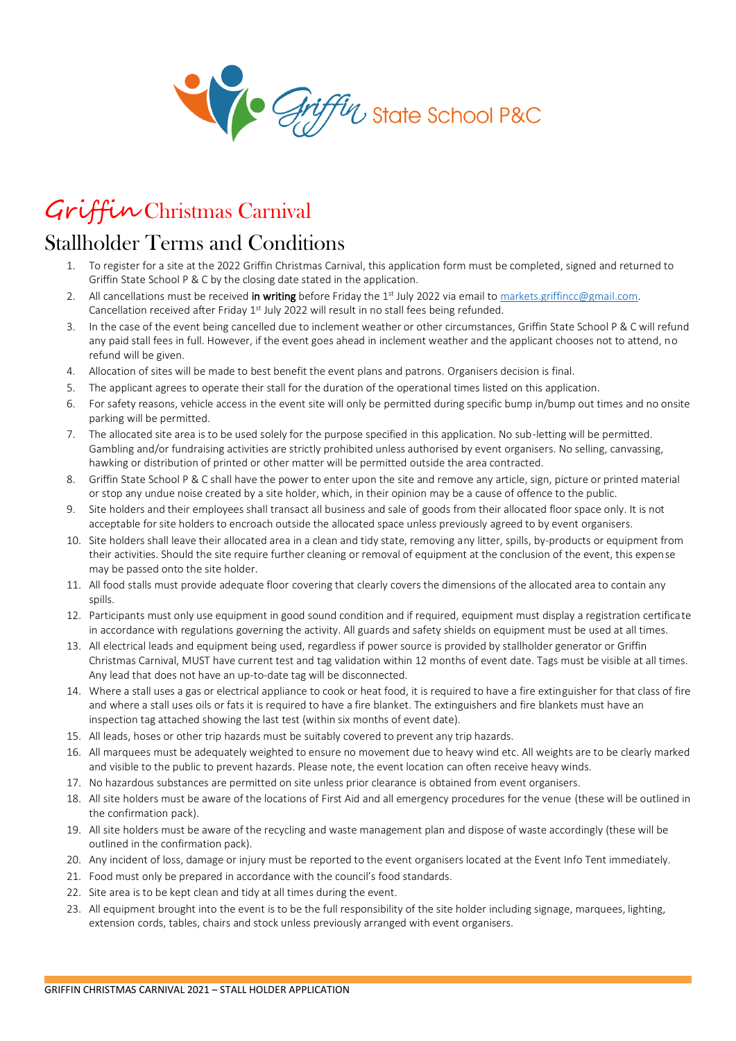

# Griffin Christmas Carnival

## Stallholder Terms and Conditions

- 1. To register for a site at the 2022 Griffin Christmas Carnival, this application form must be completed, signed and returned to Griffin State School P & C by the closing date stated in the application.
- 2. All cancellations must be received in writing before Friday the 1<sup>st</sup> July 2022 via email to markets.griffincc@gmail.com. Cancellation received after Friday 1st July 2022 will result in no stall fees being refunded.
- 3. In the case of the event being cancelled due to inclement weather or other circumstances, Griffin State School P & C will refund any paid stall fees in full. However, if the event goes ahead in inclement weather and the applicant chooses not to attend, no refund will be given.
- 4. Allocation of sites will be made to best benefit the event plans and patrons. Organisers decision is final.
- 5. The applicant agrees to operate their stall for the duration of the operational times listed on this application.
- 6. For safety reasons, vehicle access in the event site will only be permitted during specific bump in/bump out times and no onsite parking will be permitted.
- 7. The allocated site area is to be used solely for the purpose specified in this application. No sub-letting will be permitted. Gambling and/or fundraising activities are strictly prohibited unless authorised by event organisers. No selling, canvassing, hawking or distribution of printed or other matter will be permitted outside the area contracted.
- 8. Griffin State School P & C shall have the power to enter upon the site and remove any article, sign, picture or printed material or stop any undue noise created by a site holder, which, in their opinion may be a cause of offence to the public.
- 9. Site holders and their employees shall transact all business and sale of goods from their allocated floor space only. It is not acceptable for site holders to encroach outside the allocated space unless previously agreed to by event organisers.
- 10. Site holders shall leave their allocated area in a clean and tidy state, removing any litter, spills, by-products or equipment from their activities. Should the site require further cleaning or removal of equipment at the conclusion of the event, this expense may be passed onto the site holder.
- 11. All food stalls must provide adequate floor covering that clearly covers the dimensions of the allocated area to contain any spills.
- 12. Participants must only use equipment in good sound condition and if required, equipment must display a registration certificate in accordance with regulations governing the activity. All guards and safety shields on equipment must be used at all times.
- 13. All electrical leads and equipment being used, regardless if power source is provided by stallholder generator or Griffin Christmas Carnival, MUST have current test and tag validation within 12 months of event date. Tags must be visible at all times. Any lead that does not have an up-to-date tag will be disconnected.
- 14. Where a stall uses a gas or electrical appliance to cook or heat food, it is required to have a fire extinguisher for that class of fire and where a stall uses oils or fats it is required to have a fire blanket. The extinguishers and fire blankets must have an inspection tag attached showing the last test (within six months of event date).
- 15. All leads, hoses or other trip hazards must be suitably covered to prevent any trip hazards.
- 16. All marquees must be adequately weighted to ensure no movement due to heavy wind etc. All weights are to be clearly marked and visible to the public to prevent hazards. Please note, the event location can often receive heavy winds.
- 17. No hazardous substances are permitted on site unless prior clearance is obtained from event organisers.
- 18. All site holders must be aware of the locations of First Aid and all emergency procedures for the venue (these will be outlined in the confirmation pack).
- 19. All site holders must be aware of the recycling and waste management plan and dispose of waste accordingly (these will be outlined in the confirmation pack).
- 20. Any incident of loss, damage or injury must be reported to the event organisers located at the Event Info Tent immediately.
- 21. Food must only be prepared in accordance with the council's food standards.
- 22. Site area is to be kept clean and tidy at all times during the event.
- 23. All equipment brought into the event is to be the full responsibility of the site holder including signage, marquees, lighting, extension cords, tables, chairs and stock unless previously arranged with event organisers.